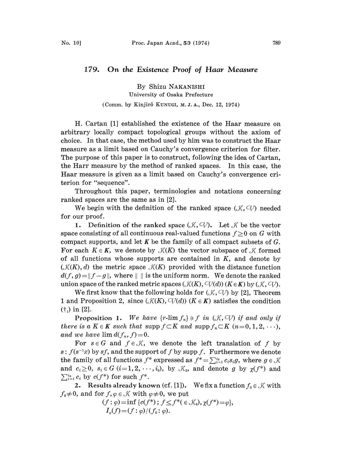## 179. On the Existence Proof of Haar Measure

By Shizu NAKANISHI University of Osaka Prefecture (Comm. by Kinjirô KUNUGI, M.J.A., Dec. 12, 1974)

H. Cartan [1] established the existence of the Haar measure on arbitrary locally compact topological groups without the axiom of choice. In that case, the method used by him was to construct the Haar measure as a limit based on Cauchy's convergence criterion for filter. The purpose of this paper is to construct, following the idea of Cartan, the Harr measure by the method of ranked spaces. In this case, the Haar measure is given as a limit based on Cauchy's convergence criterion for "sequence".

Throughout this paper, terminologies and notations concerning ranked spaces are the same as in [2].

We begin with the definition of the ranked space  $(\mathcal{K}, \mathcal{Q})$  needed for our proof.

1. Definition of the ranked space  $(\mathcal{K}, \mathbb{V})$ . Let  $\mathcal{K}$  be the vector space consisting of all continuous real-valued functions  $f\geq 0$  on G with compact supports, and let  $K$  be the family of all compact subsets of  $G$ . For each  $K \in K$ , we denote by  $\mathcal{K}(K)$  the vector subspace of  $\mathcal{K}$  formed of all functions whose supports are contained in  $K$ , and denote by  $(\mathcal{K}(K), d)$  the metric space  $\mathcal{K}(K)$  provided with the distance function  $d(f, g) = ||f-g||$ , where  $|| \, ||$  is the uniform norm. We denote the ranked union space of the ranked metric spaces  $(\mathcal{K}(K), \mathcal{C}\mathcal{V}(d))$   $(K \in K)$  by  $(\mathcal{K}, \mathcal{C}\mathcal{V})$ .

We first know that the following holds for  $(\mathcal{K}, \mathcal{Q})$  by [2], Theorem 1 and Proposition 2, since  $(\mathcal{K}(K), \mathcal{C}\mathcal{V}(d))$   $(K \in K)$  satisfies the condition  $(†_1)$  in [2].

**Proposition 1.** We have  $\{r\text{-lim } f_n\} \ni f$  in  $(\mathcal{K}, \subset V)$  if and only if there is a  $K \in K$  such that supp  $f \subset K$  and supp  $f_n \subset K$   $(n=0, 1, 2, \ldots),$ and we have  $\lim d(f_n, f)=0$ .

For  $s \in G$  and  $f \in \mathcal{K}$ , we denote the left translation of f by  $s: f(s^{-1}x)$  by sf, and the support of f by supp f. Furthermore we denote the family of all functions  $f^*$  expressed as  $f^* = \sum_{i=1}^{i_0} c_i s_i g$ , where  $g \in \mathcal{K}$ and  $c_i \geq 0$ ,  $s_i \in G$   $(i=1,2,\dots,i_0)$ , by  $\mathcal{K}_0$ , and denote g by  $\chi(f^*)$  and  $\sum_{i=1}^{i_0} c_i$  by  $c(f^*)$  for such  $f^*$ .

2. Results already known (cf. [1]). We fix a function  $f_0 \in \mathcal{K}$  with  $f_0\neq 0$ , and for  $f, \varphi \in \mathcal{K}$  with  $\varphi \neq 0$ , we put

> $(f: \varphi) = \inf \{c(f^*) ; f \leq f^*(\in \mathcal{K}_0), \chi(f^*) = \varphi\},\$  $I_{\varphi}(f) = (f : \varphi)/(f_0 : \varphi).$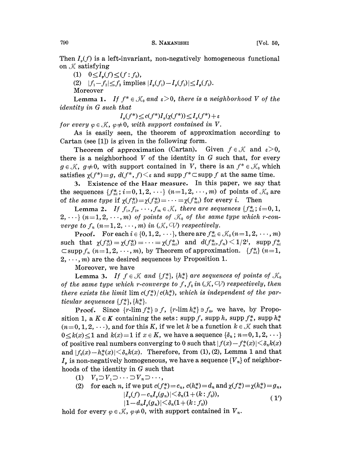Then  $I_{\rho}(f)$  is a left-invariant, non-negatively homogeneous functional on  $K$  satisfying

- (1)  $0 \leq I_{\varphi}(f) \leq (f : f_0),$
- (2)  $|f_1-f_2| \leq f_3$  implies  $|I_{\varphi}(f_1)-I_{\varphi}(f_2)| \leq I_{\varphi}(f_3).$

Moreover

Lemma 1. If  $f^* \in \mathcal{K}_0$  and  $\varepsilon > 0$ , there is a neighborhood V of the<br>tity in G such that identity in G such that

$$
I_{\varphi}(f^*) \le c(f^*)I_{\varphi}(\chi(f^*)) \le I_{\varphi}(f^*) + \varepsilon
$$

for every  $\varphi \in \mathcal{K}$ ,  $\varphi \neq 0$ , with support contained in V.

As is easily seen, the theorem of approximation according to Cartan (see [1]) is given in the following form.

Theorem of approximation (Cartan). Given  $f \in \mathcal{K}$  and  $\epsilon > 0$ , there is a neighborhood  $V$  of the identity in  $G$  such that, for every  $g \in \mathcal{K}$ ,  $g \neq 0$ , with support contained in V, there is an  $f^* \in \mathcal{K}_0$  which satisfies  $\chi(f^*) = g$ ,  $d(f^*, f) \leq \varepsilon$  and supp  $f^* \subset \text{supp } f$  at the same time.

3. Existence of the Haar measure. In this paper, we say that the sequences  $\{f_{ni}^*; i=0, 1, 2, \cdots\}$   $(n=1, 2, \cdots, m)$  of points of  $\mathcal{K}_0$  are of the same type if  $\chi(f_{1i}^*) = \chi(f_{2i}^*) = \cdots = \chi(f_{mi}^*)$  for every i. Then

Lemma 2. If  $f_1, f_2, \dots, f_m \in \mathcal{K}$ , there are sequences  $\{f_{ni}^*; i=0,1,$  $2, \dots$  (n=1,2, $\dots$ , m) of points of  $\mathcal{K}_0$  of the same type which r-converge to  $f_n$   $(n = 1, 2, \dots, m)$  in  $(\mathcal{K}, \mathcal{V})$  respectively.

**Proof.** For each  $i \in \{0, 1, 2, \dots\}$ , there are  $f_{ni}^* \in \mathcal{K}_0 (n=1, 2, \dots, m)$ such that  $\chi(f_{1i}^*) = \chi(f_{2i}^*) = \cdots = \chi(f_{mi}^*)$  and  $d(f_{ni}^*, f_n) \leq 1/2^i$ , supp  $f_{ni}^*$  $\subset$ supp  $f_n$  (n=1, 2, ..., m), by Theorem of approximation. { $f_{ni}^*$ } (n=1,  $2, \dots, m$  are the desired sequences by Proposition 1.

Moreover, we have

**Lemma 3.** If  $f \in \mathcal{K}$  and  $\{f_n^*\}, \{h_n^*\}$  are sequences of points of  $\mathcal{K}_0$ of the same type which r-converge to  $f, f_0$  in  $(X, \neg V)$  respectively, then there exists the limit lim  $c(f_n^*)/c(h_n^*)$ , which is independent of the particular sequences  $\{f_n^*\}, \{h_n^*\}.$ 

**Proof.** Since  $\{r\text{-lim } f_n^*\} \ni f$ ,  $\{r\text{-lim } h_n^*\} \ni f_0$ , we have, by Proposition 1, a  $K \in K$  containing the sets: supp f, supp h, supp  $f_n^*$ , supp  $h_n^*$  $(n=0, 1, 2, \dots)$ , and for this K, if we let k be a function  $k \in \mathcal{K}$  such that  $0 \lt k(x) \lt 1$  and  $k(x)=1$  if  $x \in K$ , we have a sequence  $\{\delta_n : n=0, 1, 2, \cdots\}$ of positive real numbers converging to 0 such that  $|f(x)-f_n^*(x)| \leq \delta_n k(x)$ and  $|f_0(x)-h_n^*(x)| \leq \delta_n k(x)$ . Therefore, from (1), (2), Lemma 1 and that  $I_{\phi}$  is non-negatively homogeneous, we have a sequence  $\{V_{n}\}\$  of neighborhoods of the identity in G such that

- (1)  $V_0 \supset V_1 \supset \cdots \supset V_n \supset \cdots$
- (2) for each n, if we put  $c(f_n^*)=c_n$ ,  $c(h_n^*)=d_n$  and  $\chi(f_n^*)=\chi(h_n^*)=g_n$ ,  $|I_{\varphi}(f)-c_nI_{\varphi}(g_n)|\leq \delta_n(1+(k:f_0)),$  (1)  $|1 - d_n I_{\phi}(g_n)| \leq \delta_n (1 + (k : f_0))$

hold for every  $\varphi \in \mathcal{K}$ ,  $\varphi \neq 0$ , with support contained in  $V_n$ .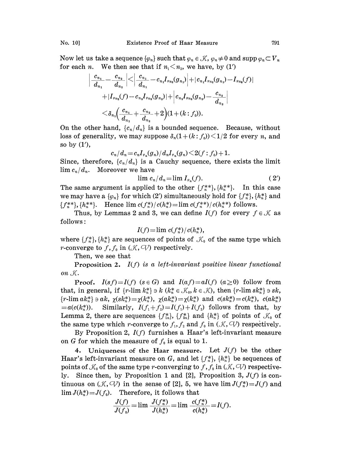Now let us take a sequence  $\{\varphi_n\}$  such that  $\varphi_n \in \mathcal{K}$ ,  $\varphi_n \neq 0$  and supp  $\varphi_n \subset V_n$ for each *n*. We then see that if  $n_1 \leq n_2$ , we have, by (1')

$$
\begin{aligned} \Big|\frac{c_{n_1}}{d_{n_1}} - \frac{c_{n_2}}{d_{n_2}} \Big|\!\!&<\!\! \Big|\frac{c_{n_1}}{d_{n_1}}\!-\!c_{n_1} I_{\varphi_{n_2}}\!(\!g_{n_1}\!)\Big|\!+\!|c_{n_1} I_{\varphi_{n_2}}\!(\!g_{n_1})\!-\!I_{\varphi_{n_2}}\!(\!f)\!)\| \\ +|I_{\varphi_{n_2}}\!(f)\!-\!c_{n_1} I_{\varphi_{n_2}}\!(g_{n_2})\!+\! \Big|\!c_{n_2} I_{\varphi_{n_2}}\!(g_{n_2})\!-\!\frac{c_{n_2}}{d_{n_2}}\Big| \\ \leq& \delta_{n_1}\!\Big(\frac{c_{n_1}}{d_{n_1}}+\frac{c_{n_2}}{d_{n_2}}+2\Big)(1\!+\!(k\!:\!f_0)). \end{aligned}
$$

On the other hand,  ${c_n/d_n}$  is a bounded sequence. Because, without loss of generality, we may suppose  $\delta_n(1 + (k : f_0)) \leq 1/2$  for every n, and so by  $(1')$ ,

$$
c_n/d_n = c_n I_{\varphi_n}(g_n)/d_n I_{\varphi_n}(g_n) \leq 2(f: f_0) + 1.
$$

Since, therefore,  ${c_n/d_n}$  is a Cauchy sequence, there exists the limit  $\lim_{n \to \infty} c_n/d_n$ . Moreover we have

$$
\lim_{n \to \infty} c_n/d_n = \lim_{n \to \infty} I_{\varphi_n}(f). \tag{2'}
$$

The same argument is applied to the other  ${f_n^{**}}$ ,  ${h_n^{**}}$ . In this case we may have a  $\{\varphi_n\}$  for which (2') simultaneously hold for  $\{f_n^*\}, \{h_n^*\}$  and  ${f_{n}^{**}}$ ,  ${h_{n}^{**}}$ . Hence  $\lim_{t \to \infty} c(f_{n}^{*})/c(h_{n}^{*}) = \lim_{t \to \infty} c(f_{n}^{**})/c(h_{n}^{**})$  follows.

Thus, by Lemmas 2 and 3, we can define  $I(f)$  for every  $f \in \mathcal{K}$  as follows:

$$
I(f)=\lim_{h \to 0} \frac{c(f_n^*)}{c(h_n^*)},
$$

where  $\{f_n^*\}, \{h_n^*\}$  are sequences of points of  $\mathcal{K}_0$  of the same type which *r*-converge to  $f, f_0$  in  $(X, \mathbb{C} \mathbb{V})$  respectively.

Then, we see that

**Proposition 2.**  $I(f)$  is a left-invariant positive linear functional on  $\mathcal{K}.$ 

**Proof.**  $I(sf) = I(f)$   $(s \in G)$  and  $I(a f) = aI(f)$   $(a \ge 0)$  follow from that, in general, if  $\{r\text{-lim }k_n^*\}\ni k \ (k_n^*\in \mathcal{K}_0, k\in \mathcal{K})$ , then  $\{r\text{-lim }sk_n^*\}\ni sk,$  ${r\text{-lim }ak_n^*} \ni ak, \ \gamma(sk_n^*) = \gamma(k_n^*), \ \gamma(ak_n^*) = \gamma(k_n^*) \text{ and } c(sk_n^*) = c(k_n^*), \ c(ak_n^*)$  $=a(c(k_{n}^{*}))$ . Similarly,  $I(f_1+f_2)=I(f_1)+I(f_2)$  follows from that, by Lemma 2, there are sequences  $\{f_{1n}^*\}, \{f_{2n}^*\}$  and  $\{h_n^*\}$  of points of  $\mathcal{K}_0$  of the same type which *r*-converge to  $f_1, f_2$  and  $f_0$  in  $(\mathcal{K}, \mathcal{Q})$  respectively.

By Proposition 2,  $I(f)$  furnishes a Haar's left-invariant measure on G for which the measure of  $f_0$  is equal to 1.

4. Uniqueness of the Haar measure. Let  $J(f)$  be the other Haar's left-invariant measure on G, and let  $\{f_n^*\}, \{h_n^*\}\$  be sequences of points of  $\mathcal{K}_0$  of the same type r-converging to f,  $f_0$  in  $(\mathcal{K}, \mathcal{V})$  respectively. Since then, by Proposition 1 and [2], Proposition 3,  $J(f)$  is continuous on  $(\mathcal{K}, \mathcal{Q})$  in the sense of [2], 5, we have  $\lim J(f_n^*)=J(f)$  and  $\lim J(h_n^*)=J(f_0).$  Therefore, it follows that

$$
\frac{J(f)}{J(f_0)} = \lim \frac{J(f_n^*)}{J(h_n^*)} = \lim \frac{c(f_n^*)}{c(h_n^*)} = I(f).
$$